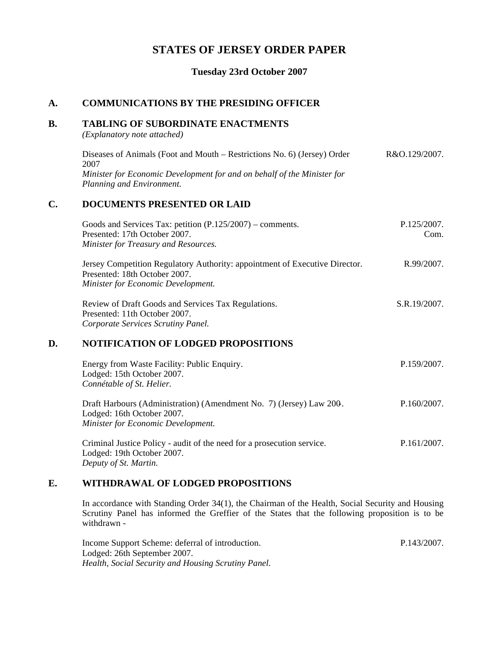# **STATES OF JERSEY ORDER PAPER**

## **Tuesday 23rd October 2007**

## **A. COMMUNICATIONS BY THE PRESIDING OFFICER**

### **B. TABLING OF SUBORDINATE ENACTMENTS**

*(Explanatory note attached)*

| Diseases of Animals (Foot and Mouth – Restrictions No. 6) (Jersey) Order | R&O.129/2007. |
|--------------------------------------------------------------------------|---------------|
| 2007                                                                     |               |
| Minister for Economic Development for and on behalf of the Minister for  |               |
| Planning and Environment.                                                |               |
|                                                                          |               |

## **C. DOCUMENTS PRESENTED OR LAID**

| Goods and Services Tax: petition $(P.125/2007)$ – comments.                                                                                        | P.125/2007. |
|----------------------------------------------------------------------------------------------------------------------------------------------------|-------------|
| Presented: 17th October 2007.                                                                                                                      | Com.        |
| Minister for Treasury and Resources.                                                                                                               |             |
| Jersey Competition Regulatory Authority: appointment of Executive Director.<br>Presented: 18th October 2007.<br>Minister for Economic Development. | R.99/2007.  |

Review of Draft Goods and Services Tax Regulations. Presented: 11th October 2007. *Corporate Services Scrutiny Panel.* S.R.19/2007.

### **D. NOTIFICATION OF LODGED PROPOSITIONS**

| Energy from Waste Facility: Public Enquiry.<br>Lodged: 15th October 2007.<br>Connétable of St. Helier.                                  | P.159/2007. |
|-----------------------------------------------------------------------------------------------------------------------------------------|-------------|
| Draft Harbours (Administration) (Amendment No. 7) (Jersey) Law 200.<br>Lodged: 16th October 2007.<br>Minister for Economic Development. | P.160/2007. |
| Criminal Justice Policy - audit of the need for a prosecution service.<br>Lodged: 19th October 2007.                                    | P.161/2007. |

*Deputy of St. Martin.*

### **E. WITHDRAWAL OF LODGED PROPOSITIONS**

In accordance with Standing Order 34(1), the Chairman of the Health, Social Security and Housing Scrutiny Panel has informed the Greffier of the States that the following proposition is to be withdrawn -

Income Support Scheme: deferral of introduction. Lodged: 26th September 2007. *Health, Social Security and Housing Scrutiny Panel.* P.143/2007.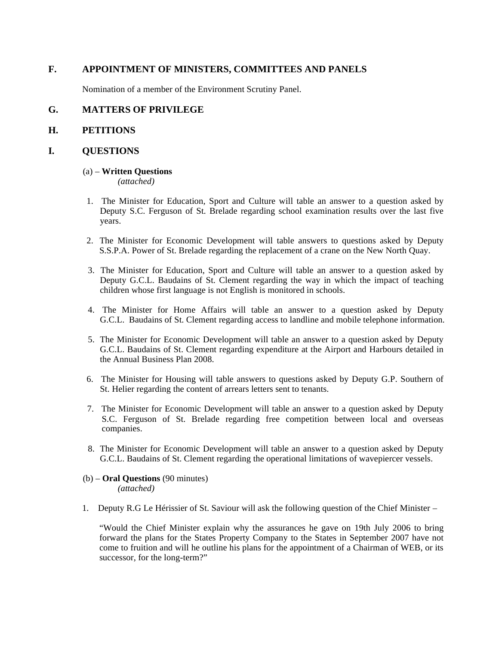## **F. APPOINTMENT OF MINISTERS, COMMITTEES AND PANELS**

Nomination of a member of the Environment Scrutiny Panel.

## **G. MATTERS OF PRIVILEGE**

### **H. PETITIONS**

### **I. QUESTIONS**

#### (a) – **Written Questions**

*(attached)*

- 1. The Minister for Education, Sport and Culture will table an answer to a question asked by Deputy S.C. Ferguson of St. Brelade regarding school examination results over the last five years.
- 2. The Minister for Economic Development will table answers to questions asked by Deputy S.S.P.A. Power of St. Brelade regarding the replacement of a crane on the New North Quay.
- 3. The Minister for Education, Sport and Culture will table an answer to a question asked by Deputy G.C.L. Baudains of St. Clement regarding the way in which the impact of teaching children whose first language is not English is monitored in schools.
- 4. The Minister for Home Affairs will table an answer to a question asked by Deputy G.C.L. Baudains of St. Clement regarding access to landline and mobile telephone information.
- 5. The Minister for Economic Development will table an answer to a question asked by Deputy G.C.L. Baudains of St. Clement regarding expenditure at the Airport and Harbours detailed in the Annual Business Plan 2008.
- 6. The Minister for Housing will table answers to questions asked by Deputy G.P. Southern of St. Helier regarding the content of arrears letters sent to tenants.
- 7. The Minister for Economic Development will table an answer to a question asked by Deputy S.C. Ferguson of St. Brelade regarding free competition between local and overseas companies.
- 8. The Minister for Economic Development will table an answer to a question asked by Deputy G.C.L. Baudains of St. Clement regarding the operational limitations of wavepiercer vessels.
- (b) **Oral Questions** (90 minutes) *(attached)*
- 1. Deputy R.G Le Hérissier of St. Saviour will ask the following question of the Chief Minister –

 "Would the Chief Minister explain why the assurances he gave on 19th July 2006 to bring forward the plans for the States Property Company to the States in September 2007 have not come to fruition and will he outline his plans for the appointment of a Chairman of WEB, or its successor, for the long-term?"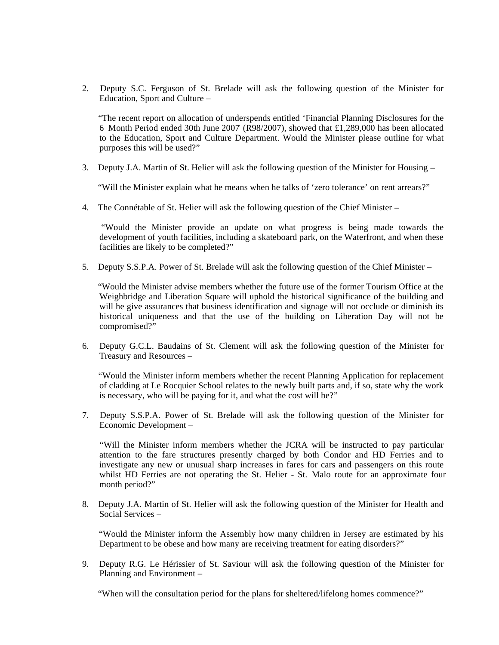2. Deputy S.C. Ferguson of St. Brelade will ask the following question of the Minister for Education, Sport and Culture –

 "The recent report on allocation of underspends entitled 'Financial Planning Disclosures for the 6 Month Period ended 30th June 2007' (R98/2007), showed that £1,289,000 has been allocated to the Education, Sport and Culture Department. Would the Minister please outline for what purposes this will be used?"

3. Deputy J.A. Martin of St. Helier will ask the following question of the Minister for Housing –

"Will the Minister explain what he means when he talks of 'zero tolerance' on rent arrears?"

4. The Connétable of St. Helier will ask the following question of the Chief Minister –

 "Would the Minister provide an update on what progress is being made towards the development of youth facilities, including a skateboard park, on the Waterfront, and when these facilities are likely to be completed?"

5. Deputy S.S.P.A. Power of St. Brelade will ask the following question of the Chief Minister –

 "Would the Minister advise members whether the future use of the former Tourism Office at the Weighbridge and Liberation Square will uphold the historical significance of the building and will he give assurances that business identification and signage will not occlude or diminish its historical uniqueness and that the use of the building on Liberation Day will not be compromised?"

6. Deputy G.C.L. Baudains of St. Clement will ask the following question of the Minister for Treasury and Resources –

 "Would the Minister inform members whether the recent Planning Application for replacement of cladding at Le Rocquier School relates to the newly built parts and, if so, state why the work is necessary, who will be paying for it, and what the cost will be?"

7. Deputy S.S.P.A. Power of St. Brelade will ask the following question of the Minister for Economic Development –

 "Will the Minister inform members whether the JCRA will be instructed to pay particular attention to the fare structures presently charged by both Condor and HD Ferries and to investigate any new or unusual sharp increases in fares for cars and passengers on this route whilst HD Ferries are not operating the St. Helier - St. Malo route for an approximate four month period?"

8. Deputy J.A. Martin of St. Helier will ask the following question of the Minister for Health and Social Services –

 "Would the Minister inform the Assembly how many children in Jersey are estimated by his Department to be obese and how many are receiving treatment for eating disorders?"

9. Deputy R.G. Le Hérissier of St. Saviour will ask the following question of the Minister for Planning and Environment –

"When will the consultation period for the plans for sheltered/lifelong homes commence?"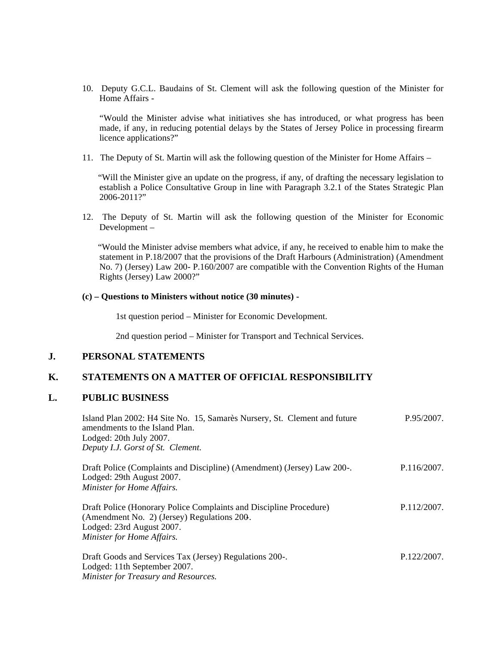10. Deputy G.C.L. Baudains of St. Clement will ask the following question of the Minister for Home Affairs -

 "Would the Minister advise what initiatives she has introduced, or what progress has been made, if any, in reducing potential delays by the States of Jersey Police in processing firearm licence applications?"

11. The Deputy of St. Martin will ask the following question of the Minister for Home Affairs –

 "Will the Minister give an update on the progress, if any, of drafting the necessary legislation to establish a Police Consultative Group in line with Paragraph 3.2.1 of the States Strategic Plan 2006-2011?"

12. The Deputy of St. Martin will ask the following question of the Minister for Economic Development –

 "Would the Minister advise members what advice, if any, he received to enable him to make the statement in P.18/2007 that the provisions of the Draft Harbours (Administration) (Amendment No. 7) (Jersey) Law 200- P.160/2007 are compatible with the Convention Rights of the Human Rights (Jersey) Law 2000?"

#### **(c) – Questions to Ministers without notice (30 minutes) -**

1st question period – Minister for Economic Development.

2nd question period – Minister for Transport and Technical Services.

## **J. PERSONAL STATEMENTS**

## **K. STATEMENTS ON A MATTER OF OFFICIAL RESPONSIBILITY**

#### **L. PUBLIC BUSINESS**

| Island Plan 2002: H4 Site No. 15, Samarès Nursery, St. Clement and future<br>amendments to the Island Plan. | P.95/2007.  |
|-------------------------------------------------------------------------------------------------------------|-------------|
| Lodged: 20th July 2007.                                                                                     |             |
| Deputy I.J. Gorst of St. Clement.                                                                           |             |
| Draft Police (Complaints and Discipline) (Amendment) (Jersey) Law 200-.<br>Lodged: 29th August 2007.        | P.116/2007. |
| Minister for Home Affairs.                                                                                  |             |
|                                                                                                             |             |
| Draft Police (Honorary Police Complaints and Discipline Procedure)                                          | P.112/2007. |
| (Amendment No. 2) (Jersey) Regulations 200.                                                                 |             |

Lodged: 23rd August 2007. *Minister for Home Affairs.*

| Draft Goods and Services Tax (Jersey) Regulations 200-. | P.122/2007. |
|---------------------------------------------------------|-------------|
| Lodged: 11th September 2007.                            |             |
| Minister for Treasury and Resources.                    |             |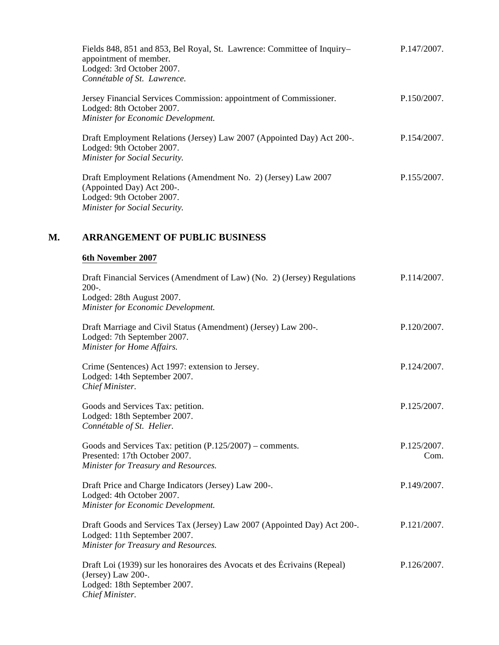| Fields 848, 851 and 853, Bel Royal, St. Lawrence: Committee of Inquiry-<br>appointment of member.<br>Lodged: 3rd October 2007.<br>Connétable of St. Lawrence. | P.147/2007. |
|---------------------------------------------------------------------------------------------------------------------------------------------------------------|-------------|
| Jersey Financial Services Commission: appointment of Commissioner.<br>Lodged: 8th October 2007.<br>Minister for Economic Development.                         | P.150/2007. |
| Draft Employment Relations (Jersey) Law 2007 (Appointed Day) Act 200-.<br>Lodged: 9th October 2007.<br>Minister for Social Security.                          | P.154/2007. |
| Draft Employment Relations (Amendment No. 2) (Jersey) Law 2007<br>(Appointed Day) Act 200-.<br>Lodged: 9th October 2007.<br>Minister for Social Security.     | P.155/2007. |

# **M. ARRANGEMENT OF PUBLIC BUSINESS**

# **6th November 2007**

| Draft Financial Services (Amendment of Law) (No. 2) (Jersey) Regulations<br>$200-.$                                                                | P.114/2007.         |
|----------------------------------------------------------------------------------------------------------------------------------------------------|---------------------|
| Lodged: 28th August 2007.<br>Minister for Economic Development.                                                                                    |                     |
| Draft Marriage and Civil Status (Amendment) (Jersey) Law 200-.<br>Lodged: 7th September 2007.<br>Minister for Home Affairs.                        | P.120/2007.         |
| Crime (Sentences) Act 1997: extension to Jersey.<br>Lodged: 14th September 2007.<br>Chief Minister.                                                | P.124/2007.         |
| Goods and Services Tax: petition.<br>Lodged: 18th September 2007.<br>Connétable of St. Helier.                                                     | P.125/2007.         |
| Goods and Services Tax: petition $(P.125/2007)$ – comments.<br>Presented: 17th October 2007.<br>Minister for Treasury and Resources.               | P.125/2007.<br>Com. |
| Draft Price and Charge Indicators (Jersey) Law 200-.<br>Lodged: 4th October 2007.<br>Minister for Economic Development.                            | P.149/2007.         |
| Draft Goods and Services Tax (Jersey) Law 2007 (Appointed Day) Act 200-.<br>Lodged: 11th September 2007.<br>Minister for Treasury and Resources.   | P.121/2007.         |
| Draft Loi (1939) sur les honoraires des Avocats et des Écrivains (Repeal)<br>(Jersey) Law 200-.<br>Lodged: 18th September 2007.<br>Chief Minister. | P.126/2007.         |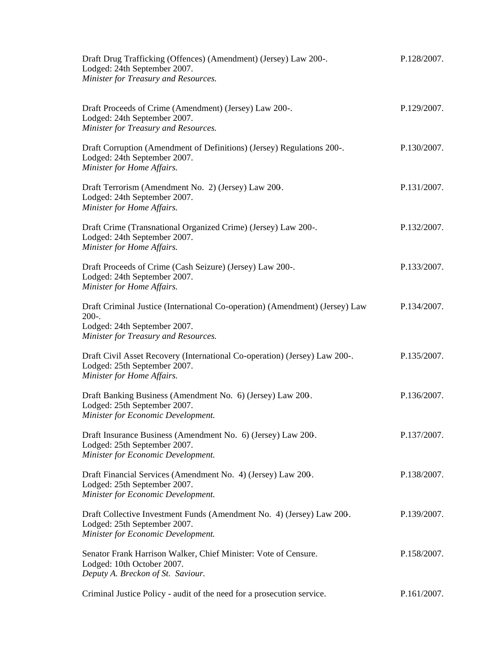| Draft Drug Trafficking (Offences) (Amendment) (Jersey) Law 200-.<br>Lodged: 24th September 2007.<br>Minister for Treasury and Resources.                        | P.128/2007. |
|-----------------------------------------------------------------------------------------------------------------------------------------------------------------|-------------|
| Draft Proceeds of Crime (Amendment) (Jersey) Law 200-.<br>Lodged: 24th September 2007.<br>Minister for Treasury and Resources.                                  | P.129/2007. |
| Draft Corruption (Amendment of Definitions) (Jersey) Regulations 200-.<br>Lodged: 24th September 2007.<br>Minister for Home Affairs.                            | P.130/2007. |
| Draft Terrorism (Amendment No. 2) (Jersey) Law 200.<br>Lodged: 24th September 2007.<br>Minister for Home Affairs.                                               | P.131/2007. |
| Draft Crime (Transnational Organized Crime) (Jersey) Law 200-.<br>Lodged: 24th September 2007.<br>Minister for Home Affairs.                                    | P.132/2007. |
| Draft Proceeds of Crime (Cash Seizure) (Jersey) Law 200-.<br>Lodged: 24th September 2007.<br>Minister for Home Affairs.                                         | P.133/2007. |
| Draft Criminal Justice (International Co-operation) (Amendment) (Jersey) Law<br>$200-.$<br>Lodged: 24th September 2007.<br>Minister for Treasury and Resources. | P.134/2007. |
| Draft Civil Asset Recovery (International Co-operation) (Jersey) Law 200-.<br>Lodged: 25th September 2007.<br>Minister for Home Affairs.                        | P.135/2007. |
| Draft Banking Business (Amendment No. 6) (Jersey) Law 200.<br>Lodged: 25th September 2007.<br>Minister for Economic Development.                                | P.136/2007. |
| Draft Insurance Business (Amendment No. 6) (Jersey) Law 200.<br>Lodged: 25th September 2007.<br>Minister for Economic Development.                              | P.137/2007. |
| Draft Financial Services (Amendment No. 4) (Jersey) Law 200.<br>Lodged: 25th September 2007.<br>Minister for Economic Development.                              | P.138/2007. |
| Draft Collective Investment Funds (Amendment No. 4) (Jersey) Law 200.<br>Lodged: 25th September 2007.<br>Minister for Economic Development.                     | P.139/2007. |
| Senator Frank Harrison Walker, Chief Minister: Vote of Censure.<br>Lodged: 10th October 2007.<br>Deputy A. Breckon of St. Saviour.                              | P.158/2007. |
| Criminal Justice Policy - audit of the need for a prosecution service.                                                                                          | P.161/2007. |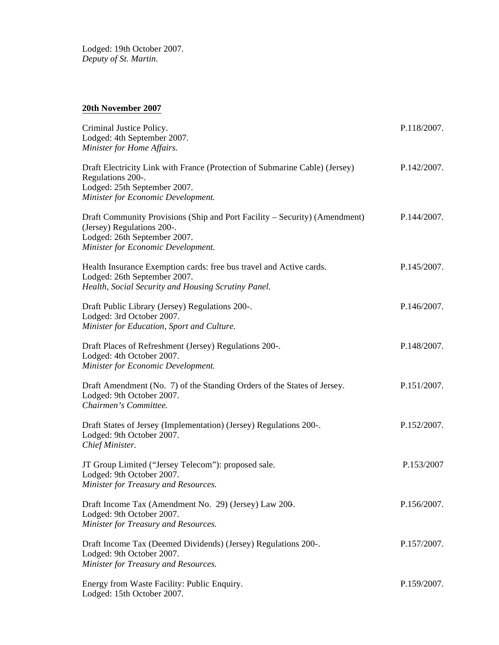Lodged: 19th October 2007. *Deputy of St. Martin.*

## **20th November 2007**

| Criminal Justice Policy.<br>Lodged: 4th September 2007.<br>Minister for Home Affairs.                                                                                          | P.118/2007. |
|--------------------------------------------------------------------------------------------------------------------------------------------------------------------------------|-------------|
| Draft Electricity Link with France (Protection of Submarine Cable) (Jersey)<br>Regulations 200-.<br>Lodged: 25th September 2007.<br>Minister for Economic Development.         | P.142/2007. |
| Draft Community Provisions (Ship and Port Facility - Security) (Amendment)<br>(Jersey) Regulations 200-.<br>Lodged: 26th September 2007.<br>Minister for Economic Development. | P.144/2007. |
| Health Insurance Exemption cards: free bus travel and Active cards.<br>Lodged: 26th September 2007.<br>Health, Social Security and Housing Scrutiny Panel.                     | P.145/2007. |
| Draft Public Library (Jersey) Regulations 200-.<br>Lodged: 3rd October 2007.<br>Minister for Education, Sport and Culture.                                                     | P.146/2007. |
| Draft Places of Refreshment (Jersey) Regulations 200-.<br>Lodged: 4th October 2007.<br>Minister for Economic Development.                                                      | P.148/2007. |
| Draft Amendment (No. 7) of the Standing Orders of the States of Jersey.<br>Lodged: 9th October 2007.<br>Chairmen's Committee.                                                  | P.151/2007. |
| Draft States of Jersey (Implementation) (Jersey) Regulations 200-.<br>Lodged: 9th October 2007.<br>Chief Minister.                                                             | P.152/2007. |
| JT Group Limited ("Jersey Telecom"): proposed sale.<br>Lodged: 9th October 2007.<br>Minister for Treasury and Resources.                                                       | P.153/2007  |
| Draft Income Tax (Amendment No. 29) (Jersey) Law 200.<br>Lodged: 9th October 2007.<br>Minister for Treasury and Resources.                                                     | P.156/2007. |
| Draft Income Tax (Deemed Dividends) (Jersey) Regulations 200-.<br>Lodged: 9th October 2007.<br>Minister for Treasury and Resources.                                            | P.157/2007. |
| Energy from Waste Facility: Public Enquiry.<br>Lodged: 15th October 2007.                                                                                                      | P.159/2007. |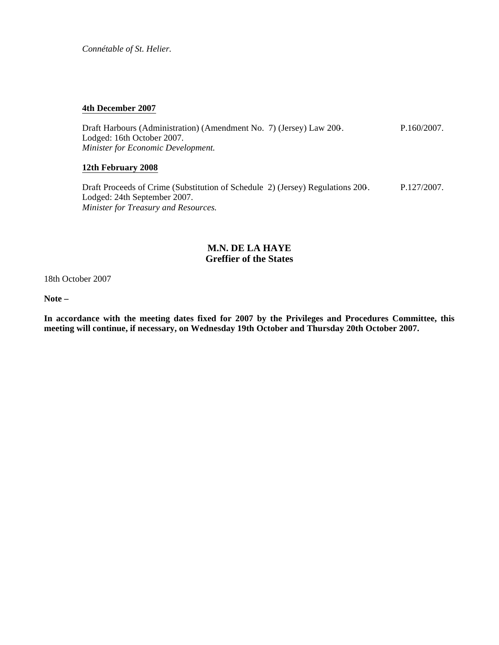*Connétable of St. Helier.*

#### **4th December 2007**

Draft Harbours (Administration) (Amendment No. 7) (Jersey) Law 200-. Lodged: 16th October 2007. *Minister for Economic Development.* P.160/2007.

### **12th February 2008**

Draft Proceeds of Crime (Substitution of Schedule 2) (Jersey) Regulations 200-. Lodged: 24th September 2007. *Minister for Treasury and Resources.* P.127/2007.

## **M.N. DE LA HAYE Greffier of the States**

18th October 2007

**Note –**

**In accordance with the meeting dates fixed for 2007 by the Privileges and Procedures Committee, this meeting will continue, if necessary, on Wednesday 19th October and Thursday 20th October 2007.**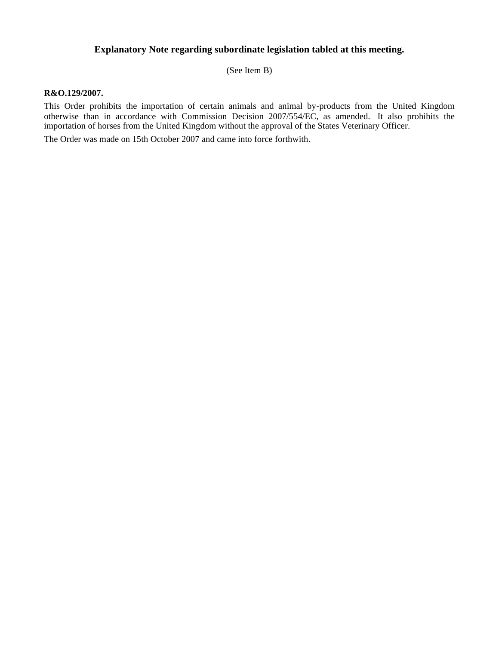# **Explanatory Note regarding subordinate legislation tabled at this meeting.**

(See Item B)

#### **R&O.129/2007.**

This Order prohibits the importation of certain animals and animal by-products from the United Kingdom otherwise than in accordance with Commission Decision 2007/554/EC, as amended. It also prohibits the importation of horses from the United Kingdom without the approval of the States Veterinary Officer.

The Order was made on 15th October 2007 and came into force forthwith.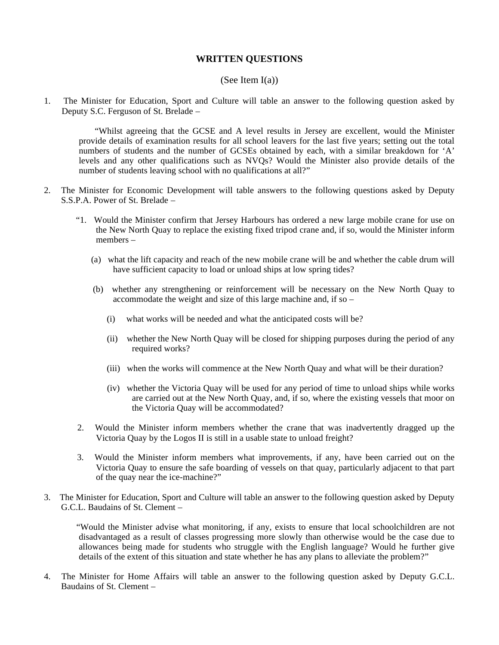## **WRITTEN QUESTIONS**

#### (See Item  $I(a)$ )

1. The Minister for Education, Sport and Culture will table an answer to the following question asked by Deputy S.C. Ferguson of St. Brelade –

 "Whilst agreeing that the GCSE and A level results in Jersey are excellent, would the Minister provide details of examination results for all school leavers for the last five years; setting out the total numbers of students and the number of GCSEs obtained by each, with a similar breakdown for 'A' levels and any other qualifications such as NVQs? Would the Minister also provide details of the number of students leaving school with no qualifications at all?"

- 2. The Minister for Economic Development will table answers to the following questions asked by Deputy S.S.P.A. Power of St. Brelade –
	- "1. Would the Minister confirm that Jersey Harbours has ordered a new large mobile crane for use on the New North Quay to replace the existing fixed tripod crane and, if so, would the Minister inform members –
		- (a) what the lift capacity and reach of the new mobile crane will be and whether the cable drum will have sufficient capacity to load or unload ships at low spring tides?
		- (b) whether any strengthening or reinforcement will be necessary on the New North Quay to accommodate the weight and size of this large machine and, if so –
			- (i) what works will be needed and what the anticipated costs will be?
			- (ii) whether the New North Quay will be closed for shipping purposes during the period of any required works?
			- (iii) when the works will commence at the New North Quay and what will be their duration?
			- (iv) whether the Victoria Quay will be used for any period of time to unload ships while works are carried out at the New North Quay, and, if so, where the existing vessels that moor on the Victoria Quay will be accommodated?
	- 2. Would the Minister inform members whether the crane that was inadvertently dragged up the Victoria Quay by the Logos II is still in a usable state to unload freight?
	- 3. Would the Minister inform members what improvements, if any, have been carried out on the Victoria Quay to ensure the safe boarding of vessels on that quay, particularly adjacent to that part of the quay near the ice-machine?"
- 3. The Minister for Education, Sport and Culture will table an answer to the following question asked by Deputy G.C.L. Baudains of St. Clement –

 "Would the Minister advise what monitoring, if any, exists to ensure that local schoolchildren are not disadvantaged as a result of classes progressing more slowly than otherwise would be the case due to allowances being made for students who struggle with the English language? Would he further give details of the extent of this situation and state whether he has any plans to alleviate the problem?"

4. The Minister for Home Affairs will table an answer to the following question asked by Deputy G.C.L. Baudains of St. Clement –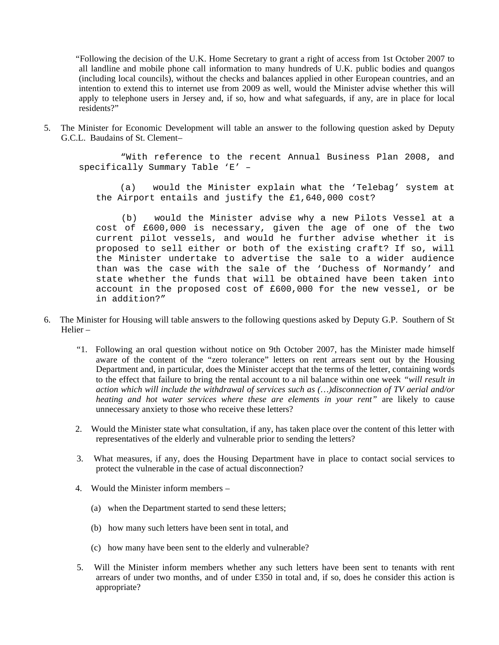"Following the decision of the U.K. Home Secretary to grant a right of access from 1st October 2007 to all landline and mobile phone call information to many hundreds of U.K. public bodies and quangos (including local councils), without the checks and balances applied in other European countries, and an intention to extend this to internet use from 2009 as well, would the Minister advise whether this will apply to telephone users in Jersey and, if so, how and what safeguards, if any, are in place for local residents?"

5. The Minister for Economic Development will table an answer to the following question asked by Deputy G.C.L. Baudains of St. Clement–

 "With reference to the recent Annual Business Plan 2008, and specifically Summary Table 'E' –

 (a) would the Minister explain what the 'Telebag' system at the Airport entails and justify the £1,640,000 cost?

 (b) would the Minister advise why a new Pilots Vessel at a cost of £600,000 is necessary, given the age of one of the two current pilot vessels, and would he further advise whether it is proposed to sell either or both of the existing craft? If so, will the Minister undertake to advertise the sale to a wider audience than was the case with the sale of the 'Duchess of Normandy' and state whether the funds that will be obtained have been taken into account in the proposed cost of £600,000 for the new vessel, or be in addition?"

- 6. The Minister for Housing will table answers to the following questions asked by Deputy G.P. Southern of St. Helier –
	- "1. Following an oral question without notice on 9th October 2007, has the Minister made himself aware of the content of the "zero tolerance" letters on rent arrears sent out by the Housing Department and, in particular, does the Minister accept that the terms of the letter, containing words to the effect that failure to bring the rental account to a nil balance within one week *"will result in action which will include the withdrawal of services such as (…)disconnection of TV aerial and/or heating and hot water services where these are elements in your rent"* are likely to cause unnecessary anxiety to those who receive these letters?
	- 2. Would the Minister state what consultation, if any, has taken place over the content of this letter with representatives of the elderly and vulnerable prior to sending the letters?
	- 3. What measures, if any, does the Housing Department have in place to contact social services to protect the vulnerable in the case of actual disconnection?
	- 4. Would the Minister inform members
		- (a) when the Department started to send these letters;
		- (b) how many such letters have been sent in total, and
		- (c) how many have been sent to the elderly and vulnerable?
	- 5. Will the Minister inform members whether any such letters have been sent to tenants with rent arrears of under two months, and of under £350 in total and, if so, does he consider this action is appropriate?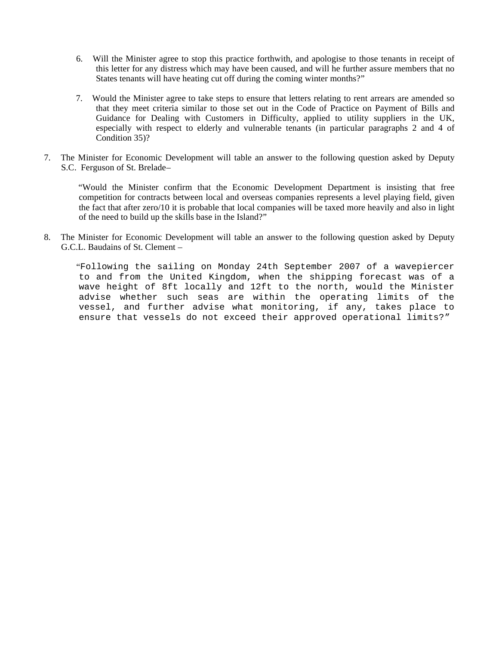- 6. Will the Minister agree to stop this practice forthwith, and apologise to those tenants in receipt of this letter for any distress which may have been caused, and will he further assure members that no States tenants will have heating cut off during the coming winter months?"
- 7. Would the Minister agree to take steps to ensure that letters relating to rent arrears are amended so that they meet criteria similar to those set out in the Code of Practice on Payment of Bills and Guidance for Dealing with Customers in Difficulty, applied to utility suppliers in the UK, especially with respect to elderly and vulnerable tenants (in particular paragraphs 2 and 4 of Condition 35)?
- 7. The Minister for Economic Development will table an answer to the following question asked by Deputy S.C. Ferguson of St. Brelade–

 "Would the Minister confirm that the Economic Development Department is insisting that free competition for contracts between local and overseas companies represents a level playing field, given the fact that after zero/10 it is probable that local companies will be taxed more heavily and also in light of the need to build up the skills base in the Island?"

8. The Minister for Economic Development will table an answer to the following question asked by Deputy G.C.L. Baudains of St. Clement –

 "Following the sailing on Monday 24th September 2007 of a wavepiercer to and from the United Kingdom, when the shipping forecast was of a wave height of 8ft locally and 12ft to the north, would the Minister advise whether such seas are within the operating limits of the vessel, and further advise what monitoring, if any, takes place to ensure that vessels do not exceed their approved operational limits?"